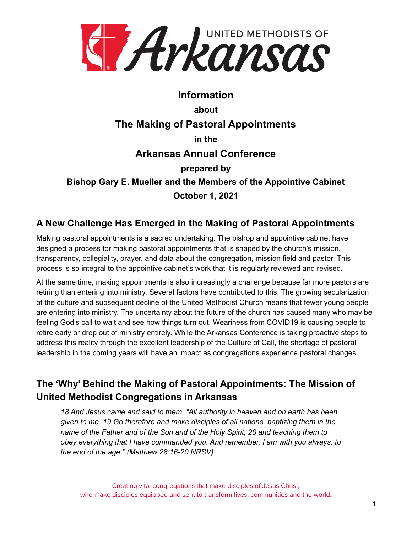

# **Information about The Making of Pastoral Appointments in the Arkansas Annual Conference prepared by Bishop Gary E. Mueller and the Members of the Appointive Cabinet October 1, 2021**

#### **A New Challenge Has Emerged in the Making of Pastoral Appointments**

Making pastoral appointments is a sacred undertaking. The bishop and appointive cabinet have designed a process for making pastoral appointments that is shaped by the church's mission, transparency, collegiality, prayer, and data about the congregation, mission field and pastor. This process is so integral to the appointive cabinet's work that it is regularly reviewed and revised.

At the same time, making appointments is also increasingly a challenge because far more pastors are retiring than entering into ministry. Several factors have contributed to this. The growing secularization of the culture and subsequent decline of the United Methodist Church means that fewer young people are entering into ministry. The uncertainty about the future of the church has caused many who may be feeling God's call to wait and see how things turn out. Weariness from COVID19 is causing people to retire early or drop out of ministry entirely. While the Arkansas Conference is taking proactive steps to address this reality through the excellent leadership of the Culture of Call, the shortage of pastoral leadership in the coming years will have an impact as congregations experience pastoral changes.

# **The 'Why' Behind the Making of Pastoral Appointments: The Mission of United Methodist Congregations in Arkansas**

*18 And Jesus came and said to them, "All authority in heaven and on earth has been given to me. 19 Go therefore and make disciples of all nations, baptizing them in the name of the Father and of the Son and of the Holy Spirit, 20 and teaching them to obey everything that I have commanded you. And remember, I am with you always, to the end of the age." (Matthew 28:16-20 NRSV)*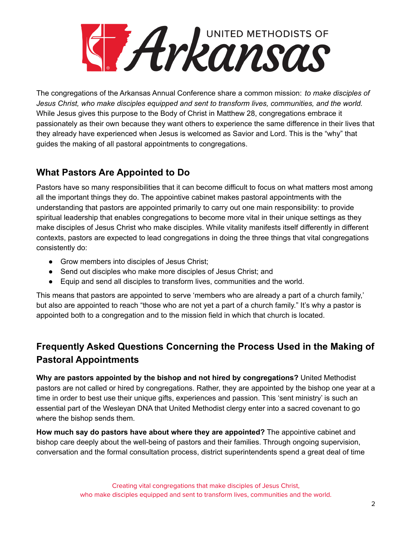

The congregations of the Arkansas Annual Conference share a common mission: *to make disciples of Jesus Christ, who make disciples equipped and sent to transform lives, communities, and the world.* While Jesus gives this purpose to the Body of Christ in Matthew 28, congregations embrace it passionately as their own because they want others to experience the same difference in their lives that they already have experienced when Jesus is welcomed as Savior and Lord. This is the "why" that guides the making of all pastoral appointments to congregations.

#### **What Pastors Are Appointed to Do**

Pastors have so many responsibilities that it can become difficult to focus on what matters most among all the important things they do. The appointive cabinet makes pastoral appointments with the understanding that pastors are appointed primarily to carry out one main responsibility: to provide spiritual leadership that enables congregations to become more vital in their unique settings as they make disciples of Jesus Christ who make disciples. While vitality manifests itself differently in different contexts, pastors are expected to lead congregations in doing the three things that vital congregations consistently do:

- Grow members into disciples of Jesus Christ;
- Send out disciples who make more disciples of Jesus Christ; and
- Equip and send all disciples to transform lives, communities and the world.

This means that pastors are appointed to serve 'members who are already a part of a church family,' but also are appointed to reach "those who are not yet a part of a church family." It's why a pastor is appointed both to a congregation and to the mission field in which that church is located.

### **Frequently Asked Questions Concerning the Process Used in the Making of Pastoral Appointments**

**Why are pastors appointed by the bishop and not hired by congregations?** United Methodist pastors are not called or hired by congregations. Rather, they are appointed by the bishop one year at a time in order to best use their unique gifts, experiences and passion. This 'sent ministry' is such an essential part of the Wesleyan DNA that United Methodist clergy enter into a sacred covenant to go where the bishop sends them.

**How much say do pastors have about where they are appointed?** The appointive cabinet and bishop care deeply about the well-being of pastors and their families. Through ongoing supervision, conversation and the formal consultation process, district superintendents spend a great deal of time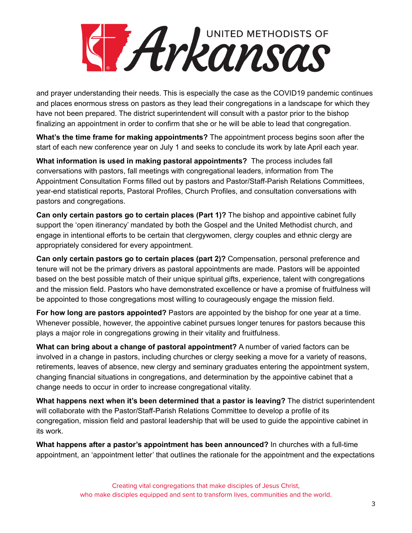# UNITED METHODISTS OF Hykansas

and prayer understanding their needs. This is especially the case as the COVID19 pandemic continues and places enormous stress on pastors as they lead their congregations in a landscape for which they have not been prepared. The district superintendent will consult with a pastor prior to the bishop finalizing an appointment in order to confirm that she or he will be able to lead that congregation.

**What's the time frame for making appointments?** The appointment process begins soon after the start of each new conference year on July 1 and seeks to conclude its work by late April each year.

**What information is used in making pastoral appointments?** The process includes fall conversations with pastors, fall meetings with congregational leaders, information from The Appointment Consultation Forms filled out by pastors and Pastor/Staff-Parish Relations Committees, year-end statistical reports, Pastoral Profiles, Church Profiles, and consultation conversations with pastors and congregations.

**Can only certain pastors go to certain places (Part 1)?** The bishop and appointive cabinet fully support the 'open itinerancy' mandated by both the Gospel and the United Methodist church, and engage in intentional efforts to be certain that clergywomen, clergy couples and ethnic clergy are appropriately considered for every appointment.

**Can only certain pastors go to certain places (part 2)?** Compensation, personal preference and tenure will not be the primary drivers as pastoral appointments are made. Pastors will be appointed based on the best possible match of their unique spiritual gifts, experience, talent with congregations and the mission field. Pastors who have demonstrated excellence or have a promise of fruitfulness will be appointed to those congregations most willing to courageously engage the mission field.

**For how long are pastors appointed?** Pastors are appointed by the bishop for one year at a time. Whenever possible, however, the appointive cabinet pursues longer tenures for pastors because this plays a major role in congregations growing in their vitality and fruitfulness.

**What can bring about a change of pastoral appointment?** A number of varied factors can be involved in a change in pastors, including churches or clergy seeking a move for a variety of reasons, retirements, leaves of absence, new clergy and seminary graduates entering the appointment system, changing financial situations in congregations, and determination by the appointive cabinet that a change needs to occur in order to increase congregational vitality.

**What happens next when it's been determined that a pastor is leaving?** The district superintendent will collaborate with the Pastor/Staff-Parish Relations Committee to develop a profile of its congregation, mission field and pastoral leadership that will be used to guide the appointive cabinet in its work.

**What happens after a pastor's appointment has been announced?** In churches with a full-time appointment, an 'appointment letter' that outlines the rationale for the appointment and the expectations